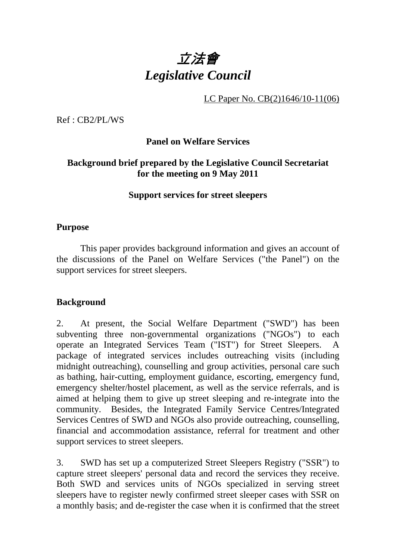

LC Paper No. CB(2)1646/10-11(06)

Ref : CB2/PL/WS

#### **Panel on Welfare Services**

#### **Background brief prepared by the Legislative Council Secretariat for the meeting on 9 May 2011**

#### **Support services for street sleepers**

#### **Purpose**

 This paper provides background information and gives an account of the discussions of the Panel on Welfare Services ("the Panel") on the support services for street sleepers.

#### **Background**

2. At present, the Social Welfare Department ("SWD") has been subventing three non-governmental organizations ("NGOs") to each operate an Integrated Services Team ("IST") for Street Sleepers. A package of integrated services includes outreaching visits (including midnight outreaching), counselling and group activities, personal care such as bathing, hair-cutting, employment guidance, escorting, emergency fund, emergency shelter/hostel placement, as well as the service referrals, and is aimed at helping them to give up street sleeping and re-integrate into the community. Besides, the Integrated Family Service Centres/Integrated Services Centres of SWD and NGOs also provide outreaching, counselling, financial and accommodation assistance, referral for treatment and other support services to street sleepers.

3. SWD has set up a computerized Street Sleepers Registry ("SSR") to capture street sleepers' personal data and record the services they receive. Both SWD and services units of NGOs specialized in serving street sleepers have to register newly confirmed street sleeper cases with SSR on a monthly basis; and de-register the case when it is confirmed that the street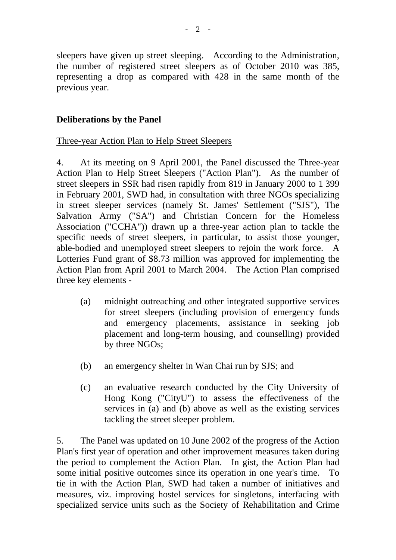sleepers have given up street sleeping. According to the Administration, the number of registered street sleepers as of October 2010 was 385, representing a drop as compared with 428 in the same month of the previous year.

## **Deliberations by the Panel**

#### Three-year Action Plan to Help Street Sleepers

4. At its meeting on 9 April 2001, the Panel discussed the Three-year Action Plan to Help Street Sleepers ("Action Plan"). As the number of street sleepers in SSR had risen rapidly from 819 in January 2000 to 1 399 in February 2001, SWD had, in consultation with three NGOs specializing in street sleeper services (namely St. James' Settlement ("SJS"), The Salvation Army ("SA") and Christian Concern for the Homeless Association ("CCHA")) drawn up a three-year action plan to tackle the specific needs of street sleepers, in particular, to assist those younger, able-bodied and unemployed street sleepers to rejoin the work force. A Lotteries Fund grant of \$8.73 million was approved for implementing the Action Plan from April 2001 to March 2004. The Action Plan comprised three key elements -

- (a) midnight outreaching and other integrated supportive services for street sleepers (including provision of emergency funds and emergency placements, assistance in seeking job placement and long-term housing, and counselling) provided by three NGOs;
- (b) an emergency shelter in Wan Chai run by SJS; and
- (c) an evaluative research conducted by the City University of Hong Kong ("CityU") to assess the effectiveness of the services in (a) and (b) above as well as the existing services tackling the street sleeper problem.

5. The Panel was updated on 10 June 2002 of the progress of the Action Plan's first year of operation and other improvement measures taken during the period to complement the Action Plan. In gist, the Action Plan had some initial positive outcomes since its operation in one year's time. To tie in with the Action Plan, SWD had taken a number of initiatives and measures, viz. improving hostel services for singletons, interfacing with specialized service units such as the Society of Rehabilitation and Crime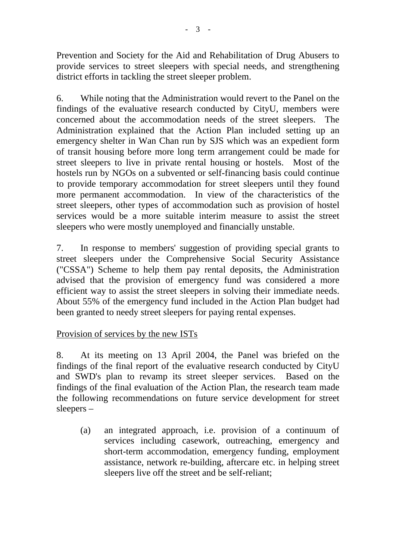Prevention and Society for the Aid and Rehabilitation of Drug Abusers to provide services to street sleepers with special needs, and strengthening district efforts in tackling the street sleeper problem.

6. While noting that the Administration would revert to the Panel on the findings of the evaluative research conducted by CityU, members were concerned about the accommodation needs of the street sleepers. The Administration explained that the Action Plan included setting up an emergency shelter in Wan Chan run by SJS which was an expedient form of transit housing before more long term arrangement could be made for street sleepers to live in private rental housing or hostels. Most of the hostels run by NGOs on a subvented or self-financing basis could continue to provide temporary accommodation for street sleepers until they found more permanent accommodation. In view of the characteristics of the street sleepers, other types of accommodation such as provision of hostel services would be a more suitable interim measure to assist the street sleepers who were mostly unemployed and financially unstable.

7. In response to members' suggestion of providing special grants to street sleepers under the Comprehensive Social Security Assistance ("CSSA") Scheme to help them pay rental deposits, the Administration advised that the provision of emergency fund was considered a more efficient way to assist the street sleepers in solving their immediate needs. About 55% of the emergency fund included in the Action Plan budget had been granted to needy street sleepers for paying rental expenses.

## Provision of services by the new ISTs

8. At its meeting on 13 April 2004, the Panel was briefed on the findings of the final report of the evaluative research conducted by CityU and SWD's plan to revamp its street sleeper services. Based on the findings of the final evaluation of the Action Plan, the research team made the following recommendations on future service development for street sleepers –

(a) an integrated approach, i.e. provision of a continuum of services including casework, outreaching, emergency and short-term accommodation, emergency funding, employment assistance, network re-building, aftercare etc. in helping street sleepers live off the street and be self-reliant;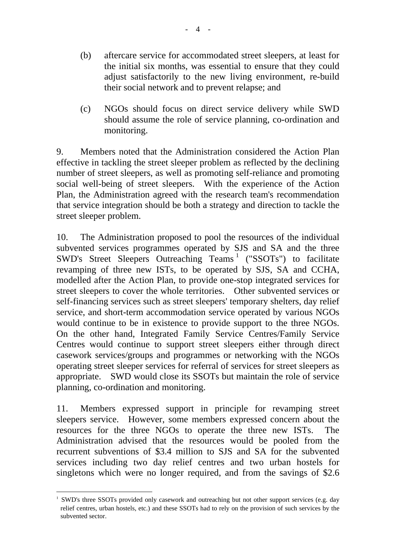- (b) aftercare service for accommodated street sleepers, at least for the initial six months, was essential to ensure that they could adjust satisfactorily to the new living environment, re-build their social network and to prevent relapse; and
- (c) NGOs should focus on direct service delivery while SWD should assume the role of service planning, co-ordination and monitoring.

9. Members noted that the Administration considered the Action Plan effective in tackling the street sleeper problem as reflected by the declining number of street sleepers, as well as promoting self-reliance and promoting social well-being of street sleepers. With the experience of the Action Plan, the Administration agreed with the research team's recommendation that service integration should be both a strategy and direction to tackle the street sleeper problem.

10. The Administration proposed to pool the resources of the individual subvented services programmes operated by SJS and SA and the three SWD's Street Sleepers Outreaching Teams<sup>1</sup> ("SSOTs") to facilitate revamping of three new ISTs, to be operated by SJS, SA and CCHA, modelled after the Action Plan, to provide one-stop integrated services for street sleepers to cover the whole territories. Other subvented services or self-financing services such as street sleepers' temporary shelters, day relief service, and short-term accommodation service operated by various NGOs would continue to be in existence to provide support to the three NGOs. On the other hand, Integrated Family Service Centres/Family Service Centres would continue to support street sleepers either through direct casework services/groups and programmes or networking with the NGOs operating street sleeper services for referral of services for street sleepers as appropriate. SWD would close its SSOTs but maintain the role of service planning, co-ordination and monitoring.

11. Members expressed support in principle for revamping street sleepers service. However, some members expressed concern about the resources for the three NGOs to operate the three new ISTs. The Administration advised that the resources would be pooled from the recurrent subventions of \$3.4 million to SJS and SA for the subvented services including two day relief centres and two urban hostels for singletons which were no longer required, and from the savings of \$2.6

l

SWD's three SSOTs provided only casework and outreaching but not other support services (e.g. day relief centres, urban hostels, etc.) and these SSOTs had to rely on the provision of such services by the subvented sector.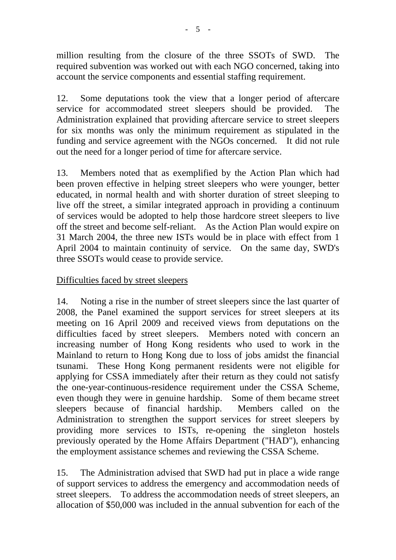million resulting from the closure of the three SSOTs of SWD. The required subvention was worked out with each NGO concerned, taking into account the service components and essential staffing requirement.

12. Some deputations took the view that a longer period of aftercare service for accommodated street sleepers should be provided. The Administration explained that providing aftercare service to street sleepers for six months was only the minimum requirement as stipulated in the funding and service agreement with the NGOs concerned. It did not rule out the need for a longer period of time for aftercare service.

13. Members noted that as exemplified by the Action Plan which had been proven effective in helping street sleepers who were younger, better educated, in normal health and with shorter duration of street sleeping to live off the street, a similar integrated approach in providing a continuum of services would be adopted to help those hardcore street sleepers to live off the street and become self-reliant. As the Action Plan would expire on 31 March 2004, the three new ISTs would be in place with effect from 1 April 2004 to maintain continuity of service. On the same day, SWD's three SSOTs would cease to provide service.

## Difficulties faced by street sleepers

14. Noting a rise in the number of street sleepers since the last quarter of 2008, the Panel examined the support services for street sleepers at its meeting on 16 April 2009 and received views from deputations on the difficulties faced by street sleepers. Members noted with concern an increasing number of Hong Kong residents who used to work in the Mainland to return to Hong Kong due to loss of jobs amidst the financial tsunami. These Hong Kong permanent residents were not eligible for applying for CSSA immediately after their return as they could not satisfy the one-year-continuous-residence requirement under the CSSA Scheme, even though they were in genuine hardship. Some of them became street sleepers because of financial hardship. Members called on the Administration to strengthen the support services for street sleepers by providing more services to ISTs, re-opening the singleton hostels previously operated by the Home Affairs Department ("HAD"), enhancing the employment assistance schemes and reviewing the CSSA Scheme.

15. The Administration advised that SWD had put in place a wide range of support services to address the emergency and accommodation needs of street sleepers. To address the accommodation needs of street sleepers, an allocation of \$50,000 was included in the annual subvention for each of the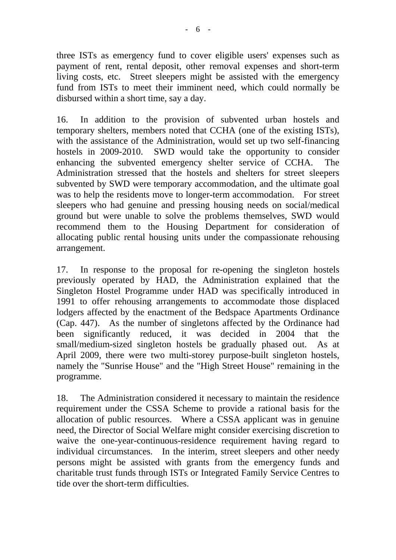three ISTs as emergency fund to cover eligible users' expenses such as payment of rent, rental deposit, other removal expenses and short-term living costs, etc. Street sleepers might be assisted with the emergency fund from ISTs to meet their imminent need, which could normally be disbursed within a short time, say a day.

16. In addition to the provision of subvented urban hostels and temporary shelters, members noted that CCHA (one of the existing ISTs), with the assistance of the Administration, would set up two self-financing hostels in 2009-2010. SWD would take the opportunity to consider enhancing the subvented emergency shelter service of CCHA. The Administration stressed that the hostels and shelters for street sleepers subvented by SWD were temporary accommodation, and the ultimate goal was to help the residents move to longer-term accommodation. For street sleepers who had genuine and pressing housing needs on social/medical ground but were unable to solve the problems themselves, SWD would recommend them to the Housing Department for consideration of allocating public rental housing units under the compassionate rehousing arrangement.

17. In response to the proposal for re-opening the singleton hostels previously operated by HAD, the Administration explained that the Singleton Hostel Programme under HAD was specifically introduced in 1991 to offer rehousing arrangements to accommodate those displaced lodgers affected by the enactment of the Bedspace Apartments Ordinance (Cap. 447). As the number of singletons affected by the Ordinance had been significantly reduced, it was decided in 2004 that the small/medium-sized singleton hostels be gradually phased out. As at April 2009, there were two multi-storey purpose-built singleton hostels, namely the "Sunrise House" and the "High Street House" remaining in the programme.

18. The Administration considered it necessary to maintain the residence requirement under the CSSA Scheme to provide a rational basis for the allocation of public resources. Where a CSSA applicant was in genuine need, the Director of Social Welfare might consider exercising discretion to waive the one-year-continuous-residence requirement having regard to individual circumstances. In the interim, street sleepers and other needy persons might be assisted with grants from the emergency funds and charitable trust funds through ISTs or Integrated Family Service Centres to tide over the short-term difficulties.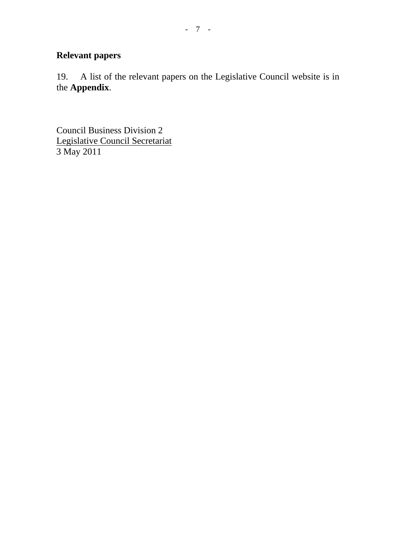## **Relevant papers**

19. A list of the relevant papers on the Legislative Council website is in the **Appendix**.

Council Business Division 2 Legislative Council Secretariat 3 May 2011